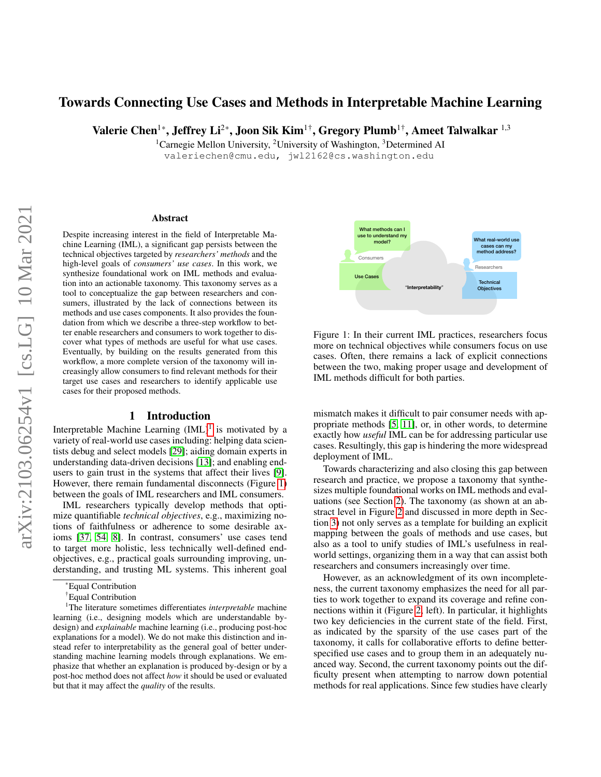# Towards Connecting Use Cases and Methods in Interpretable Machine Learning

Valerie Chen<sup>1\*</sup>, Jeffrey Li<sup>2\*</sup>, Joon Sik Kim<sup>1†</sup>, Gregory Plumb<sup>1†</sup>, Ameet Talwalkar<sup>1,3</sup>

<sup>1</sup>Carnegie Mellon University, <sup>2</sup>University of Washington, <sup>3</sup>Determined AI valeriechen@cmu.edu, jwl2162@cs.washington.edu

#### Abstract

Despite increasing interest in the field of Interpretable Machine Learning (IML), a significant gap persists between the technical objectives targeted by *researchers' methods* and the high-level goals of *consumers' use cases*. In this work, we synthesize foundational work on IML methods and evaluation into an actionable taxonomy. This taxonomy serves as a tool to conceptualize the gap between researchers and consumers, illustrated by the lack of connections between its methods and use cases components. It also provides the foundation from which we describe a three-step workflow to better enable researchers and consumers to work together to discover what types of methods are useful for what use cases. Eventually, by building on the results generated from this workflow, a more complete version of the taxonomy will increasingly allow consumers to find relevant methods for their target use cases and researchers to identify applicable use cases for their proposed methods.

#### 1 Introduction

Interpretable Machine Learning  $(IML)^1$  $(IML)^1$  is motivated by a variety of real-world use cases including: helping data scientists debug and select models [\[29\]](#page-9-0); aiding domain experts in understanding data-driven decisions [\[13\]](#page-9-1); and enabling endusers to gain trust in the systems that affect their lives [\[9\]](#page-9-2). However, there remain fundamental disconnects (Figure [1\)](#page-0-1) between the goals of IML researchers and IML consumers.

IML researchers typically develop methods that optimize quantifiable *technical objectives*, e.g., maximizing notions of faithfulness or adherence to some desirable axioms [\[37,](#page-10-0) [54,](#page-10-1) [8\]](#page-9-3). In contrast, consumers' use cases tend to target more holistic, less technically well-defined endobjectives, e.g., practical goals surrounding improving, understanding, and trusting ML systems. This inherent goal

<span id="page-0-1"></span>

Figure 1: In their current IML practices, researchers focus more on technical objectives while consumers focus on use cases. Often, there remains a lack of explicit connections between the two, making proper usage and development of IML methods difficult for both parties.

mismatch makes it difficult to pair consumer needs with appropriate methods [\[5,](#page-8-0) [11\]](#page-9-4), or, in other words, to determine exactly how *useful* IML can be for addressing particular use cases. Resultingly, this gap is hindering the more widespread deployment of IML.

Towards characterizing and also closing this gap between research and practice, we propose a taxonomy that synthesizes multiple foundational works on IML methods and evaluations (see Section [2\)](#page-1-0). The taxonomy (as shown at an abstract level in Figure [2](#page-1-1) and discussed in more depth in Section [3\)](#page-2-0) not only serves as a template for building an explicit mapping between the goals of methods and use cases, but also as a tool to unify studies of IML's usefulness in realworld settings, organizing them in a way that can assist both researchers and consumers increasingly over time.

However, as an acknowledgment of its own incompleteness, the current taxonomy emphasizes the need for all parties to work together to expand its coverage and refine connections within it (Figure [2,](#page-1-1) left). In particular, it highlights two key deficiencies in the current state of the field. First, as indicated by the sparsity of the use cases part of the taxonomy, it calls for collaborative efforts to define betterspecified use cases and to group them in an adequately nuanced way. Second, the current taxonomy points out the difficulty present when attempting to narrow down potential methods for real applications. Since few studies have clearly

<sup>\*</sup>Equal Contribution

<span id="page-0-0"></span><sup>†</sup>Equal Contribution

<sup>1</sup>The literature sometimes differentiates *interpretable* machine learning (i.e., designing models which are understandable bydesign) and *explainable* machine learning (i.e., producing post-hoc explanations for a model). We do not make this distinction and instead refer to interpretability as the general goal of better understanding machine learning models through explanations. We emphasize that whether an explanation is produced by-design or by a post-hoc method does not affect *how* it should be used or evaluated but that it may affect the *quality* of the results.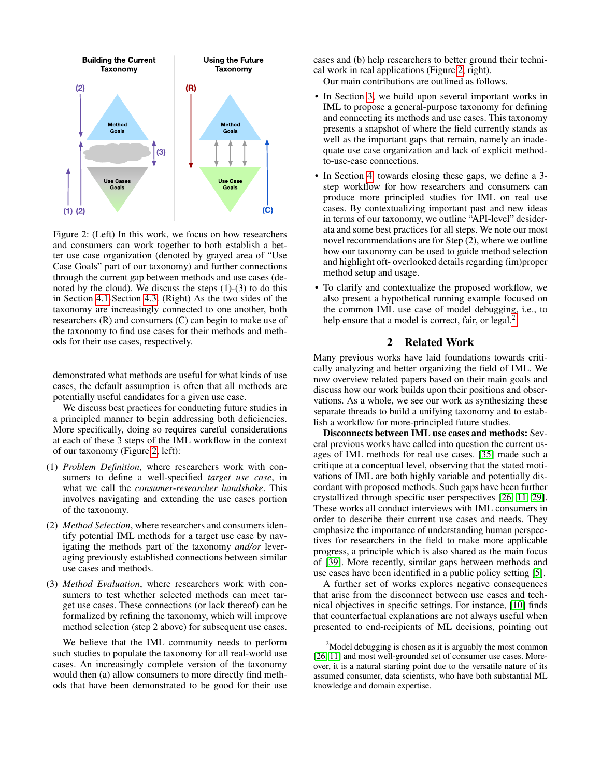<span id="page-1-1"></span>

Figure 2: (Left) In this work, we focus on how researchers and consumers can work together to both establish a better use case organization (denoted by grayed area of "Use Case Goals" part of our taxonomy) and further connections through the current gap between methods and use cases (denoted by the cloud). We discuss the steps  $(1)-(3)$  to do this in Section [4.1-](#page-5-0)Section [4.3.](#page-7-0) (Right) As the two sides of the taxonomy are increasingly connected to one another, both researchers  $(R)$  and consumers  $(C)$  can begin to make use of the taxonomy to find use cases for their methods and methods for their use cases, respectively.

demonstrated what methods are useful for what kinds of use cases, the default assumption is often that all methods are potentially useful candidates for a given use case.

We discuss best practices for conducting future studies in a principled manner to begin addressing both deficiencies. More specifically, doing so requires careful considerations at each of these 3 steps of the IML workflow in the context of our taxonomy (Figure [2,](#page-1-1) left):

- (1) *Problem Definition*, where researchers work with consumers to define a well-specified *target use case*, in what we call the *consumer-researcher handshake*. This involves navigating and extending the use cases portion of the taxonomy.
- (2) *Method Selection*, where researchers and consumers identify potential IML methods for a target use case by navigating the methods part of the taxonomy *and/or* leveraging previously established connections between similar use cases and methods.
- (3) *Method Evaluation*, where researchers work with consumers to test whether selected methods can meet target use cases. These connections (or lack thereof) can be formalized by refining the taxonomy, which will improve method selection (step 2 above) for subsequent use cases.

We believe that the IML community needs to perform such studies to populate the taxonomy for all real-world use cases. An increasingly complete version of the taxonomy would then (a) allow consumers to more directly find methods that have been demonstrated to be good for their use

cases and (b) help researchers to better ground their technical work in real applications (Figure [2,](#page-1-1) right).

Our main contributions are outlined as follows.

- In Section [3,](#page-2-0) we build upon several important works in IML to propose a general-purpose taxonomy for defining and connecting its methods and use cases. This taxonomy presents a snapshot of where the field currently stands as well as the important gaps that remain, namely an inadequate use case organization and lack of explicit methodto-use-case connections.
- In Section [4,](#page-5-1) towards closing these gaps, we define a 3step workflow for how researchers and consumers can produce more principled studies for IML on real use cases. By contextualizing important past and new ideas in terms of our taxonomy, we outline "API-level" desiderata and some best practices for all steps. We note our most novel recommendations are for Step (2), where we outline how our taxonomy can be used to guide method selection and highlight oft- overlooked details regarding (im)proper method setup and usage.
- To clarify and contextualize the proposed workflow, we also present a hypothetical running example focused on the common IML use case of model debugging, i.e., to help ensure that a model is correct, fair, or legal. $\frac{2}{3}$  $\frac{2}{3}$  $\frac{2}{3}$

## 2 Related Work

<span id="page-1-0"></span>Many previous works have laid foundations towards critically analyzing and better organizing the field of IML. We now overview related papers based on their main goals and discuss how our work builds upon their positions and observations. As a whole, we see our work as synthesizing these separate threads to build a unifying taxonomy and to establish a workflow for more-principled future studies.

Disconnects between IML use cases and methods: Several previous works have called into question the current usages of IML methods for real use cases. [\[35\]](#page-10-2) made such a critique at a conceptual level, observing that the stated motivations of IML are both highly variable and potentially discordant with proposed methods. Such gaps have been further crystallized through specific user perspectives [\[26,](#page-9-5) [11,](#page-9-4) [29\]](#page-9-0). These works all conduct interviews with IML consumers in order to describe their current use cases and needs. They emphasize the importance of understanding human perspectives for researchers in the field to make more applicable progress, a principle which is also shared as the main focus of [\[39\]](#page-10-3). More recently, similar gaps between methods and use cases have been identified in a public policy setting [\[5\]](#page-8-0).

A further set of works explores negative consequences that arise from the disconnect between use cases and technical objectives in specific settings. For instance, [\[10\]](#page-9-6) finds that counterfactual explanations are not always useful when presented to end-recipients of ML decisions, pointing out

<span id="page-1-2"></span> $2$ Model debugging is chosen as it is arguably the most common [\[26,](#page-9-5) [11\]](#page-9-4) and most well-grounded set of consumer use cases. Moreover, it is a natural starting point due to the versatile nature of its assumed consumer, data scientists, who have both substantial ML knowledge and domain expertise.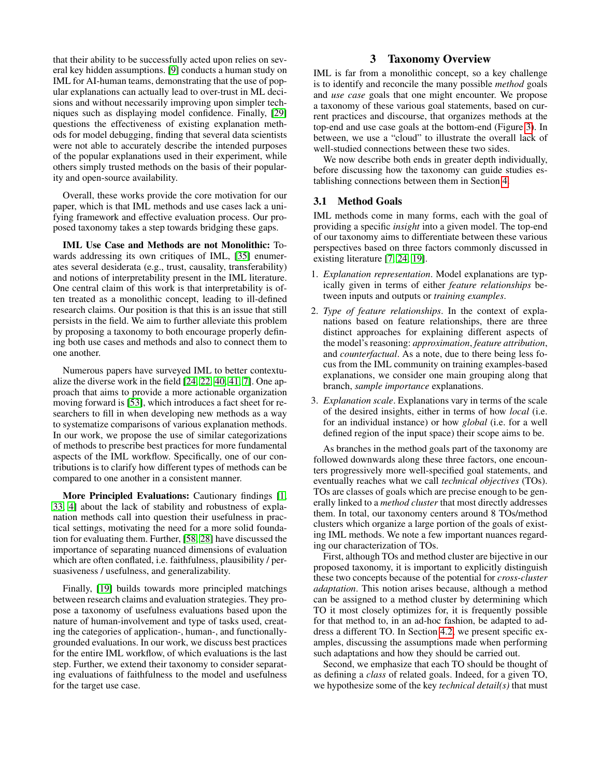that their ability to be successfully acted upon relies on several key hidden assumptions. [\[9\]](#page-9-2) conducts a human study on IML for AI-human teams, demonstrating that the use of popular explanations can actually lead to over-trust in ML decisions and without necessarily improving upon simpler techniques such as displaying model confidence. Finally, [\[29\]](#page-9-0) questions the effectiveness of existing explanation methods for model debugging, finding that several data scientists were not able to accurately describe the intended purposes of the popular explanations used in their experiment, while others simply trusted methods on the basis of their popularity and open-source availability.

Overall, these works provide the core motivation for our paper, which is that IML methods and use cases lack a unifying framework and effective evaluation process. Our proposed taxonomy takes a step towards bridging these gaps.

IML Use Case and Methods are not Monolithic: Towards addressing its own critiques of IML, [\[35\]](#page-10-2) enumerates several desiderata (e.g., trust, causality, transferability) and notions of interpretability present in the IML literature. One central claim of this work is that interpretability is often treated as a monolithic concept, leading to ill-defined research claims. Our position is that this is an issue that still persists in the field. We aim to further alleviate this problem by proposing a taxonomy to both encourage properly defining both use cases and methods and also to connect them to one another.

Numerous papers have surveyed IML to better contextualize the diverse work in the field [\[24,](#page-9-7) [22,](#page-9-8) [40,](#page-10-4) [41,](#page-10-5) [7\]](#page-9-9). One approach that aims to provide a more actionable organization moving forward is [\[53\]](#page-10-6), which introduces a fact sheet for researchers to fill in when developing new methods as a way to systematize comparisons of various explanation methods. In our work, we propose the use of similar categorizations of methods to prescribe best practices for more fundamental aspects of the IML workflow. Specifically, one of our contributions is to clarify how different types of methods can be compared to one another in a consistent manner.

More Principled Evaluations: Cautionary findings [\[1,](#page-8-1) [33,](#page-10-7) [4\]](#page-8-2) about the lack of stability and robustness of explanation methods call into question their usefulness in practical settings, motivating the need for a more solid foundation for evaluating them. Further, [\[58,](#page-11-0) [28\]](#page-9-10) have discussed the importance of separating nuanced dimensions of evaluation which are often conflated, i.e. faithfulness, plausibility / persuasiveness / usefulness, and generalizability.

Finally, [\[19\]](#page-9-11) builds towards more principled matchings between research claims and evaluation strategies. They propose a taxonomy of usefulness evaluations based upon the nature of human-involvement and type of tasks used, creating the categories of application-, human-, and functionallygrounded evaluations. In our work, we discuss best practices for the entire IML workflow, of which evaluations is the last step. Further, we extend their taxonomy to consider separating evaluations of faithfulness to the model and usefulness for the target use case.

## 3 Taxonomy Overview

<span id="page-2-0"></span>IML is far from a monolithic concept, so a key challenge is to identify and reconcile the many possible *method* goals and *use case* goals that one might encounter. We propose a taxonomy of these various goal statements, based on current practices and discourse, that organizes methods at the top-end and use case goals at the bottom-end (Figure [3\)](#page-3-0). In between, we use a "cloud" to illustrate the overall lack of well-studied connections between these two sides.

We now describe both ends in greater depth individually, before discussing how the taxonomy can guide studies establishing connections between them in Section [4.](#page-5-1)

#### <span id="page-2-1"></span>3.1 Method Goals

IML methods come in many forms, each with the goal of providing a specific *insight* into a given model. The top-end of our taxonomy aims to differentiate between these various perspectives based on three factors commonly discussed in existing literature [\[7,](#page-9-9) [24,](#page-9-7) [19\]](#page-9-11).

- 1. *Explanation representation*. Model explanations are typically given in terms of either *feature relationships* between inputs and outputs or *training examples*.
- 2. *Type of feature relationships*. In the context of explanations based on feature relationships, there are three distinct approaches for explaining different aspects of the model's reasoning: *approximation*, *feature attribution*, and *counterfactual*. As a note, due to there being less focus from the IML community on training examples-based explanations, we consider one main grouping along that branch, *sample importance* explanations.
- 3. *Explanation scale*. Explanations vary in terms of the scale of the desired insights, either in terms of how *local* (i.e. for an individual instance) or how *global* (i.e. for a well defined region of the input space) their scope aims to be.

As branches in the method goals part of the taxonomy are followed downwards along these three factors, one encounters progressively more well-specified goal statements, and eventually reaches what we call *technical objectives* (TOs). TOs are classes of goals which are precise enough to be generally linked to a *method cluster* that most directly addresses them. In total, our taxonomy centers around 8 TOs/method clusters which organize a large portion of the goals of existing IML methods. We note a few important nuances regarding our characterization of TOs.

First, although TOs and method cluster are bijective in our proposed taxonomy, it is important to explicitly distinguish these two concepts because of the potential for *cross-cluster adaptation*. This notion arises because, although a method can be assigned to a method cluster by determining which TO it most closely optimizes for, it is frequently possible for that method to, in an ad-hoc fashion, be adapted to address a different TO. In Section [4.2,](#page-6-0) we present specific examples, discussing the assumptions made when performing such adaptations and how they should be carried out.

Second, we emphasize that each TO should be thought of as defining a *class* of related goals. Indeed, for a given TO, we hypothesize some of the key *technical detail(s)* that must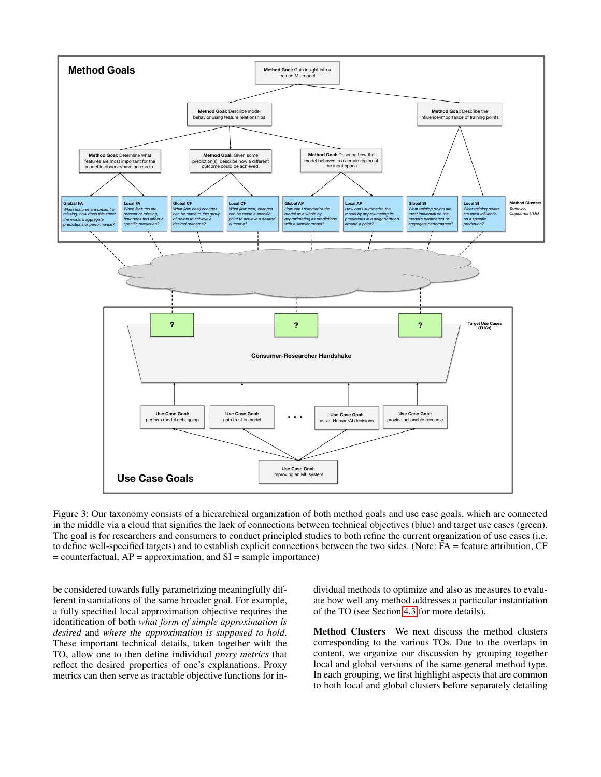<span id="page-3-0"></span>

Figure 3: Our taxonomy consists of a hierarchical organization of both method goals and use case goals, which are connected in the middle via a cloud that signifies the lack of connections between technical objectives (blue) and target use cases (green). The goal is for researchers and consumers to conduct principled studies to both refine the current organization of use cases (i.e. to define well-specified targets) and to establish explicit connections between the two sides. (Note: FA = feature attribution, CF  $=$  counterfactual,  $AP =$  approximation, and  $SI =$  sample importance)

These important technical details, taken together with the **Local SI** TO, allow one to then define individual *proxy metrics* that be considered towards fully parametrizing meaningfully different instantiations of the same broader goal. For example, a fully specified local approximation objective requires the identification of both *what form of simple approximation is desired* and *where the approximation is supposed to hold*. reflect the desired properties of one's explanations. Proxy metrics can then serve as tractable objective functions for individual methods to optimize and also as measures to evaluate how well any method addresses a particular instantiation of the TO (see Section [4.3](#page-7-0) for more details).

corresponding to the various TOs. Due to the overlaps in Method Clusters We next discuss the method clusters content, we organize our discussion by grouping together local and global versions of the same general method type. In each grouping, we first highlight aspects that are common to both local and global clusters before separately detailing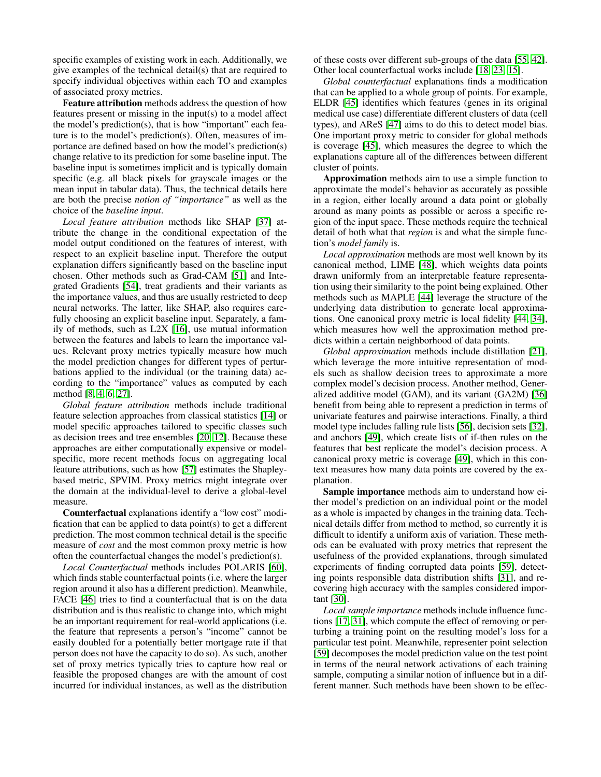specific examples of existing work in each. Additionally, we give examples of the technical detail(s) that are required to specify individual objectives within each TO and examples of associated proxy metrics.

Feature attribution methods address the question of how features present or missing in the input(s) to a model affect the model's prediction(s), that is how "important" each feature is to the model's prediction(s). Often, measures of importance are defined based on how the model's prediction(s) change relative to its prediction for some baseline input. The baseline input is sometimes implicit and is typically domain specific (e.g. all black pixels for grayscale images or the mean input in tabular data). Thus, the technical details here are both the precise *notion of "importance"* as well as the choice of the *baseline input*.

*Local feature attribution* methods like SHAP [\[37\]](#page-10-0) attribute the change in the conditional expectation of the model output conditioned on the features of interest, with respect to an explicit baseline input. Therefore the output explanation differs significantly based on the baseline input chosen. Other methods such as Grad-CAM [\[51\]](#page-10-8) and Integrated Gradients [\[54\]](#page-10-1), treat gradients and their variants as the importance values, and thus are usually restricted to deep neural networks. The latter, like SHAP, also requires carefully choosing an explicit baseline input. Separately, a family of methods, such as L2X [\[16\]](#page-9-12), use mutual information between the features and labels to learn the importance values. Relevant proxy metrics typically measure how much the model prediction changes for different types of perturbations applied to the individual (or the training data) according to the "importance" values as computed by each method [\[8,](#page-9-3) [4,](#page-8-2) [6,](#page-8-3) [27\]](#page-9-13).

*Global feature attribution* methods include traditional feature selection approaches from classical statistics [\[14\]](#page-9-14) or model specific approaches tailored to specific classes such as decision trees and tree ensembles [\[20,](#page-9-15) [12\]](#page-9-16). Because these approaches are either computationally expensive or modelspecific, more recent methods focus on aggregating local feature attributions, such as how [\[57\]](#page-11-1) estimates the Shapleybased metric, SPVIM. Proxy metrics might integrate over the domain at the individual-level to derive a global-level measure.

Counterfactual explanations identify a "low cost" modification that can be applied to data point(s) to get a different prediction. The most common technical detail is the specific measure of *cost* and the most common proxy metric is how often the counterfactual changes the model's prediction(s).

*Local Counterfactual* methods includes POLARIS [\[60\]](#page-11-2), which finds stable counterfactual points (i.e. where the larger region around it also has a different prediction). Meanwhile, FACE [\[46\]](#page-10-9) tries to find a counterfactual that is on the data distribution and is thus realistic to change into, which might be an important requirement for real-world applications (i.e. the feature that represents a person's "income" cannot be easily doubled for a potentially better mortgage rate if that person does not have the capacity to do so). As such, another set of proxy metrics typically tries to capture how real or feasible the proposed changes are with the amount of cost incurred for individual instances, as well as the distribution

of these costs over different sub-groups of the data [\[55,](#page-11-3) [42\]](#page-10-10). Other local counterfactual works include [\[18,](#page-9-17) [23,](#page-9-18) [15\]](#page-9-19).

*Global counterfactual* explanations finds a modification that can be applied to a whole group of points. For example, ELDR [\[45\]](#page-10-11) identifies which features (genes in its original medical use case) differentiate different clusters of data (cell types), and AReS [\[47\]](#page-10-12) aims to do this to detect model bias. One important proxy metric to consider for global methods is coverage [\[45\]](#page-10-11), which measures the degree to which the explanations capture all of the differences between different cluster of points.

Approximation methods aim to use a simple function to approximate the model's behavior as accurately as possible in a region, either locally around a data point or globally around as many points as possible or across a specific region of the input space. These methods require the technical detail of both what that *region* is and what the simple function's *model family* is.

*Local approximation* methods are most well known by its canonical method, LIME [\[48\]](#page-10-13), which weights data points drawn uniformly from an interpretable feature representation using their similarity to the point being explained. Other methods such as MAPLE [\[44\]](#page-10-14) leverage the structure of the underlying data distribution to generate local approximations. One canonical proxy metric is local fidelity [\[44,](#page-10-14) [34\]](#page-10-15), which measures how well the approximation method predicts within a certain neighborhood of data points.

*Global approximation* methods include distillation [\[21\]](#page-9-20), which leverage the more intuitive representation of models such as shallow decision trees to approximate a more complex model's decision process. Another method, Generalized additive model (GAM), and its variant (GA2M) [\[36\]](#page-10-16) benefit from being able to represent a prediction in terms of univariate features and pairwise interactions. Finally, a third model type includes falling rule lists [\[56\]](#page-11-4), decision sets [\[32\]](#page-10-17), and anchors [\[49\]](#page-10-18), which create lists of if-then rules on the features that best replicate the model's decision process. A canonical proxy metric is coverage [\[49\]](#page-10-18), which in this context measures how many data points are covered by the explanation.

Sample importance methods aim to understand how either model's prediction on an individual point or the model as a whole is impacted by changes in the training data. Technical details differ from method to method, so currently it is difficult to identify a uniform axis of variation. These methods can be evaluated with proxy metrics that represent the usefulness of the provided explanations, through simulated experiments of finding corrupted data points [\[59\]](#page-11-5), detecting points responsible data distribution shifts [\[31\]](#page-10-19), and recovering high accuracy with the samples considered important [\[30\]](#page-10-20).

*Local sample importance* methods include influence functions [\[17,](#page-9-21) [31\]](#page-10-19), which compute the effect of removing or perturbing a training point on the resulting model's loss for a particular test point. Meanwhile, representer point selection [\[59\]](#page-11-5) decomposes the model prediction value on the test point in terms of the neural network activations of each training sample, computing a similar notion of influence but in a different manner. Such methods have been shown to be effec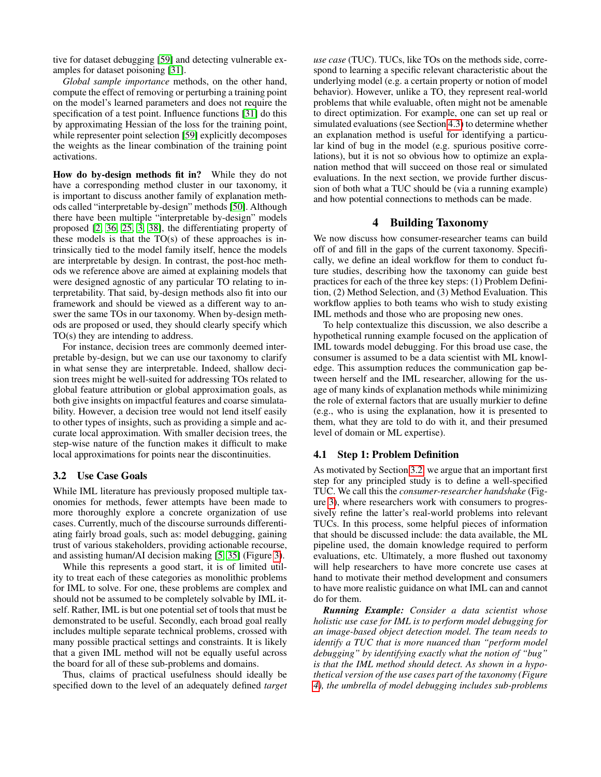tive for dataset debugging [\[59\]](#page-11-5) and detecting vulnerable examples for dataset poisoning [\[31\]](#page-10-19).

*Global sample importance* methods, on the other hand, compute the effect of removing or perturbing a training point on the model's learned parameters and does not require the specification of a test point. Influence functions [\[31\]](#page-10-19) do this by approximating Hessian of the loss for the training point, while representer point selection [\[59\]](#page-11-5) explicitly decomposes the weights as the linear combination of the training point activations.

How do by-design methods fit in? While they do not have a corresponding method cluster in our taxonomy, it is important to discuss another family of explanation methods called "interpretable by-design" methods [\[50\]](#page-10-21). Although there have been multiple "interpretable by-design" models proposed [\[2,](#page-8-4) [36,](#page-10-16) [25,](#page-9-22) [3,](#page-8-5) [38\]](#page-10-22), the differentiating property of these models is that the  $TO(s)$  of these approaches is intrinsically tied to the model family itself, hence the models are interpretable by design. In contrast, the post-hoc methods we reference above are aimed at explaining models that were designed agnostic of any particular TO relating to interpretability. That said, by-design methods also fit into our framework and should be viewed as a different way to answer the same TOs in our taxonomy. When by-design methods are proposed or used, they should clearly specify which TO(s) they are intending to address.

For instance, decision trees are commonly deemed interpretable by-design, but we can use our taxonomy to clarify in what sense they are interpretable. Indeed, shallow decision trees might be well-suited for addressing TOs related to global feature attribution or global approximation goals, as both give insights on impactful features and coarse simulatability. However, a decision tree would not lend itself easily to other types of insights, such as providing a simple and accurate local approximation. With smaller decision trees, the step-wise nature of the function makes it difficult to make local approximations for points near the discontinuities.

#### <span id="page-5-2"></span>3.2 Use Case Goals

While IML literature has previously proposed multiple taxonomies for methods, fewer attempts have been made to more thoroughly explore a concrete organization of use cases. Currently, much of the discourse surrounds differentiating fairly broad goals, such as: model debugging, gaining trust of various stakeholders, providing actionable recourse, and assisting human/AI decision making [\[5,](#page-8-0) [35\]](#page-10-2) (Figure [3\)](#page-3-0).

While this represents a good start, it is of limited utility to treat each of these categories as monolithic problems for IML to solve. For one, these problems are complex and should not be assumed to be completely solvable by IML itself. Rather, IML is but one potential set of tools that must be demonstrated to be useful. Secondly, each broad goal really includes multiple separate technical problems, crossed with many possible practical settings and constraints. It is likely that a given IML method will not be equally useful across the board for all of these sub-problems and domains.

Thus, claims of practical usefulness should ideally be specified down to the level of an adequately defined *target*

*use case* (TUC). TUCs, like TOs on the methods side, correspond to learning a specific relevant characteristic about the underlying model (e.g. a certain property or notion of model behavior). However, unlike a TO, they represent real-world problems that while evaluable, often might not be amenable to direct optimization. For example, one can set up real or simulated evaluations (see Section [4.3\)](#page-7-0) to determine whether an explanation method is useful for identifying a particular kind of bug in the model (e.g. spurious positive correlations), but it is not so obvious how to optimize an explanation method that will succeed on those real or simulated evaluations. In the next section, we provide further discussion of both what a TUC should be (via a running example) and how potential connections to methods can be made.

#### 4 Building Taxonomy

<span id="page-5-1"></span>We now discuss how consumer-researcher teams can build off of and fill in the gaps of the current taxonomy. Specifically, we define an ideal workflow for them to conduct future studies, describing how the taxonomy can guide best practices for each of the three key steps: (1) Problem Definition, (2) Method Selection, and (3) Method Evaluation. This workflow applies to both teams who wish to study existing IML methods and those who are proposing new ones.

To help contextualize this discussion, we also describe a hypothetical running example focused on the application of IML towards model debugging. For this broad use case, the consumer is assumed to be a data scientist with ML knowledge. This assumption reduces the communication gap between herself and the IML researcher, allowing for the usage of many kinds of explanation methods while minimizing the role of external factors that are usually murkier to define (e.g., who is using the explanation, how it is presented to them, what they are told to do with it, and their presumed level of domain or ML expertise).

#### <span id="page-5-0"></span>4.1 Step 1: Problem Definition

As motivated by Section [3.2,](#page-5-2) we argue that an important first step for any principled study is to define a well-specified TUC. We call this the *consumer-researcher handshake* (Figure [3\)](#page-3-0), where researchers work with consumers to progressively refine the latter's real-world problems into relevant TUCs. In this process, some helpful pieces of information that should be discussed include: the data available, the ML pipeline used, the domain knowledge required to perform evaluations, etc. Ultimately, a more flushed out taxonomy will help researchers to have more concrete use cases at hand to motivate their method development and consumers to have more realistic guidance on what IML can and cannot do for them.

*Running Example: Consider a data scientist whose holistic use case for IML is to perform model debugging for an image-based object detection model. The team needs to identify a TUC that is more nuanced than "perform model debugging" by identifying exactly what the notion of "bug" is that the IML method should detect. As shown in a hypothetical version of the use cases part of the taxonomy (Figure [4\)](#page-6-1), the umbrella of model debugging includes sub-problems*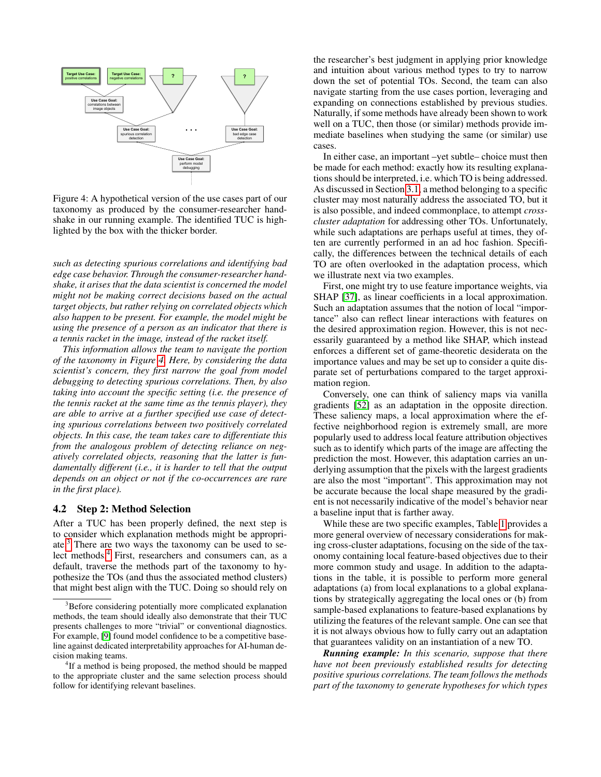<span id="page-6-1"></span>

Figure 4: A hypothetical version of the use cases part of our taxonomy as produced by the consumer-researcher handshake in our running example. The identified TUC is highlighted by the box with the thicker border.

*such as detecting spurious correlations and identifying bad edge case behavior. Through the consumer-researcher handshake, it arises that the data scientist is concerned the model might not be making correct decisions based on the actual target objects, but rather relying on correlated objects which also happen to be present. For example, the model might be using the presence of a person as an indicator that there is a tennis racket in the image, instead of the racket itself.*

*This information allows the team to navigate the portion of the taxonomy in Figure [4.](#page-6-1) Here, by considering the data scientist's concern, they first narrow the goal from model debugging to detecting spurious correlations. Then, by also taking into account the specific setting (i.e. the presence of the tennis racket at the same time as the tennis player), they are able to arrive at a further specified use case of detecting spurious correlations between two positively correlated objects. In this case, the team takes care to differentiate this from the analogous problem of detecting reliance on negatively correlated objects, reasoning that the latter is fundamentally different (i.e., it is harder to tell that the output depends on an object or not if the co-occurrences are rare in the first place).*

#### <span id="page-6-0"></span>4.2 Step 2: Method Selection

After a TUC has been properly defined, the next step is to consider which explanation methods might be appropriate.[3](#page-6-2) There are two ways the taxonomy can be used to select methods.[4](#page-6-3) First, researchers and consumers can, as a default, traverse the methods part of the taxonomy to hypothesize the TOs (and thus the associated method clusters) that might best align with the TUC. Doing so should rely on

the researcher's best judgment in applying prior knowledge and intuition about various method types to try to narrow down the set of potential TOs. Second, the team can also navigate starting from the use cases portion, leveraging and expanding on connections established by previous studies. Naturally, if some methods have already been shown to work well on a TUC, then those (or similar) methods provide immediate baselines when studying the same (or similar) use cases.

In either case, an important –yet subtle– choice must then be made for each method: exactly how its resulting explanations should be interpreted, i.e. which TO is being addressed. As discussed in Section [3.1,](#page-2-1) a method belonging to a specific cluster may most naturally address the associated TO, but it is also possible, and indeed commonplace, to attempt *crosscluster adaptation* for addressing other TOs. Unfortunately, while such adaptations are perhaps useful at times, they often are currently performed in an ad hoc fashion. Specifically, the differences between the technical details of each TO are often overlooked in the adaptation process, which we illustrate next via two examples.

First, one might try to use feature importance weights, via SHAP [\[37\]](#page-10-0), as linear coefficients in a local approximation. Such an adaptation assumes that the notion of local "importance" also can reflect linear interactions with features on the desired approximation region. However, this is not necessarily guaranteed by a method like SHAP, which instead enforces a different set of game-theoretic desiderata on the importance values and may be set up to consider a quite disparate set of perturbations compared to the target approximation region.

Conversely, one can think of saliency maps via vanilla gradients [\[52\]](#page-10-23) as an adaptation in the opposite direction. These saliency maps, a local approximation where the effective neighborhood region is extremely small, are more popularly used to address local feature attribution objectives such as to identify which parts of the image are affecting the prediction the most. However, this adaptation carries an underlying assumption that the pixels with the largest gradients are also the most "important". This approximation may not be accurate because the local shape measured by the gradient is not necessarily indicative of the model's behavior near a baseline input that is farther away.

While these are two specific examples, Table [1](#page-7-1) provides a more general overview of necessary considerations for making cross-cluster adaptations, focusing on the side of the taxonomy containing local feature-based objectives due to their more common study and usage. In addition to the adaptations in the table, it is possible to perform more general adaptations (a) from local explanations to a global explanations by strategically aggregating the local ones or (b) from sample-based explanations to feature-based explanations by utilizing the features of the relevant sample. One can see that it is not always obvious how to fully carry out an adaptation that guarantees validity on an instantiation of a new TO.

*Running example: In this scenario, suppose that there have not been previously established results for detecting positive spurious correlations. The team follows the methods part of the taxonomy to generate hypotheses for which types*

<span id="page-6-2"></span><sup>&</sup>lt;sup>3</sup>Before considering potentially more complicated explanation methods, the team should ideally also demonstrate that their TUC presents challenges to more "trivial" or conventional diagnostics. For example, [\[9\]](#page-9-2) found model confidence to be a competitive baseline against dedicated interpretability approaches for AI-human decision making teams.

<span id="page-6-3"></span><sup>&</sup>lt;sup>4</sup>If a method is being proposed, the method should be mapped to the appropriate cluster and the same selection process should follow for identifying relevant baselines.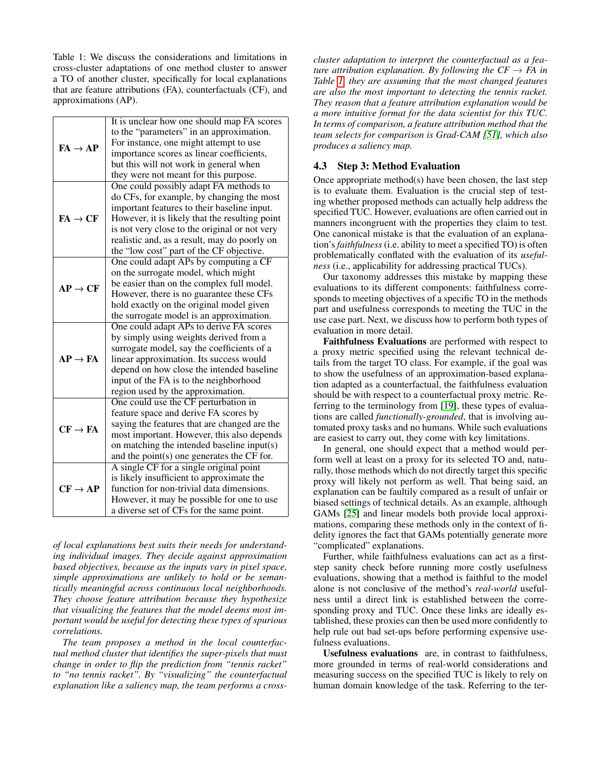<span id="page-7-1"></span>Table 1: We discuss the considerations and limitations in cross-cluster adaptations of one method cluster to answer a TO of another cluster, specifically for local explanations that are feature attributions (FA), counterfactuals (CF), and approximations (AP).

| $FA \rightarrow AP$ | It is unclear how one should map FA scores<br>to the "parameters" in an approximation.<br>For instance, one might attempt to use<br>importance scores as linear coefficients,<br>but this will not work in general when<br>they were not meant for this purpose.                                                                  |
|---------------------|-----------------------------------------------------------------------------------------------------------------------------------------------------------------------------------------------------------------------------------------------------------------------------------------------------------------------------------|
| $FA \rightarrow CF$ | One could possibly adapt FA methods to<br>do CFs, for example, by changing the most<br>important features to their baseline input.<br>However, it is likely that the resulting point<br>is not very close to the original or not very<br>realistic and, as a result, may do poorly on<br>the "low cost" part of the CF objective. |
| $AP \rightarrow CF$ | One could adapt APs by computing a CF<br>on the surrogate model, which might<br>be easier than on the complex full model.<br>However, there is no guarantee these CFs<br>hold exactly on the original model given<br>the surrogate model is an approximation.                                                                     |
| $AP \rightarrow FA$ | One could adapt APs to derive FA scores<br>by simply using weights derived from a<br>surrogate model, say the coefficients of a<br>linear approximation. Its success would<br>depend on how close the intended baseline<br>input of the FA is to the neighborhood<br>region used by the approximation.                            |
| $CF \rightarrow FA$ | One could use the CF perturbation in<br>feature space and derive FA scores by<br>saying the features that are changed are the<br>most important. However, this also depends<br>on matching the intended baseline input(s)<br>and the point(s) one generates the CF for.                                                           |
| $CF \rightarrow AP$ | A single CF for a single original point<br>is likely insufficient to approximate the<br>function for non-trivial data dimensions.<br>However, it may be possible for one to use<br>a diverse set of CFs for the same point.                                                                                                       |

*of local explanations best suits their needs for understanding individual images. They decide against approximation based objectives, because as the inputs vary in pixel space, simple approximations are unlikely to hold or be semantically meaningful across continuous local neighborhoods. They choose feature attribution because they hypothesize that visualizing the features that the model deems most important would be useful for detecting these types of spurious correlations.*

*The team proposes a method in the local counterfactual method cluster that identifies the super-pixels that must change in order to flip the prediction from "tennis racket" to "no tennis racket". By "visualizing" the counterfactual explanation like a saliency map, the team performs a cross-*

*cluster adaptation to interpret the counterfactual as a feature attribution explanation. By following the*  $CF \rightarrow FA$  *in Table [1,](#page-7-1) they are assuming that the most changed features are also the most important to detecting the tennis racket. They reason that a feature attribution explanation would be a more intuitive format for the data scientist for this TUC. In terms of comparison, a feature attribution method that the team selects for comparison is Grad-CAM [\[51\]](#page-10-8), which also produces a saliency map.*

### <span id="page-7-0"></span>4.3 Step 3: Method Evaluation

Once appropriate method(s) have been chosen, the last step is to evaluate them. Evaluation is the crucial step of testing whether proposed methods can actually help address the specified TUC. However, evaluations are often carried out in manners incongruent with the properties they claim to test. One canonical mistake is that the evaluation of an explanation's*faithfulness*(i.e. ability to meet a specified TO) is often problematically conflated with the evaluation of its *usefulness* (i.e., applicability for addressing practical TUCs).

Our taxonomy addresses this mistake by mapping these evaluations to its different components: faithfulness corresponds to meeting objectives of a specific TO in the methods part and usefulness corresponds to meeting the TUC in the use case part. Next, we discuss how to perform both types of evaluation in more detail.

Faithfulness Evaluations are performed with respect to a proxy metric specified using the relevant technical details from the target TO class. For example, if the goal was to show the usefulness of an approximation-based explanation adapted as a counterfactual, the faithfulness evaluation should be with respect to a counterfactual proxy metric. Referring to the terminology from [\[19\]](#page-9-11), these types of evaluations are called *functionally-grounded*, that is involving automated proxy tasks and no humans. While such evaluations are easiest to carry out, they come with key limitations.

In general, one should expect that a method would perform well at least on a proxy for its selected TO and, naturally, those methods which do not directly target this specific proxy will likely not perform as well. That being said, an explanation can be faultily compared as a result of unfair or biased settings of technical details. As an example, although GAMs [\[25\]](#page-9-22) and linear models both provide local approximations, comparing these methods only in the context of fidelity ignores the fact that GAMs potentially generate more "complicated" explanations.

Further, while faithfulness evaluations can act as a firststep sanity check before running more costly usefulness evaluations, showing that a method is faithful to the model alone is not conclusive of the method's *real-world* usefulness until a direct link is established between the corresponding proxy and TUC. Once these links are ideally established, these proxies can then be used more confidently to help rule out bad set-ups before performing expensive usefulness evaluations.

Usefulness evaluations are, in contrast to faithfulness, more grounded in terms of real-world considerations and measuring success on the specified TUC is likely to rely on human domain knowledge of the task. Referring to the ter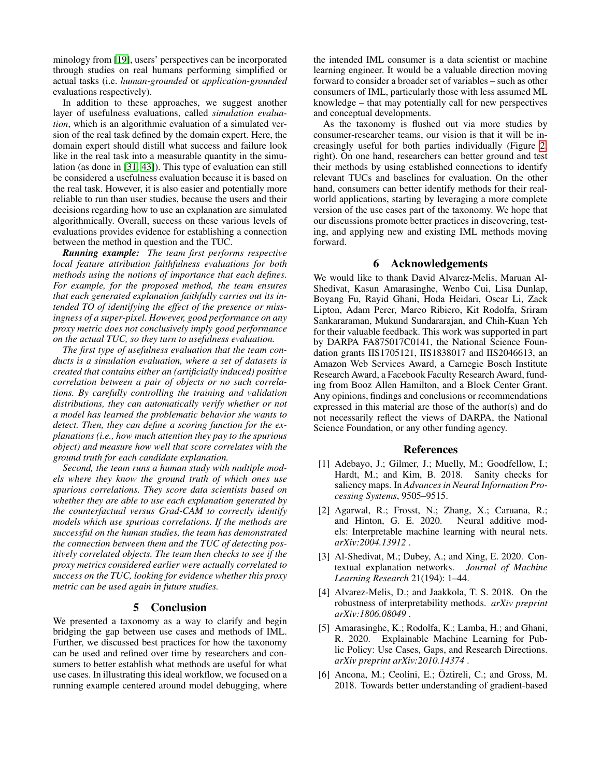minology from [\[19\]](#page-9-11), users' perspectives can be incorporated through studies on real humans performing simplified or actual tasks (i.e. *human-grounded* or *application-grounded* evaluations respectively).

In addition to these approaches, we suggest another layer of usefulness evaluations, called *simulation evaluation*, which is an algorithmic evaluation of a simulated version of the real task defined by the domain expert. Here, the domain expert should distill what success and failure look like in the real task into a measurable quantity in the simulation (as done in [\[31,](#page-10-19) [43\]](#page-10-24)). This type of evaluation can still be considered a usefulness evaluation because it is based on the real task. However, it is also easier and potentially more reliable to run than user studies, because the users and their decisions regarding how to use an explanation are simulated algorithmically. Overall, success on these various levels of evaluations provides evidence for establishing a connection between the method in question and the TUC.

*Running example: The team first performs respective local feature attribution faithfulness evaluations for both methods using the notions of importance that each defines. For example, for the proposed method, the team ensures that each generated explanation faithfully carries out its intended TO of identifying the effect of the presence or missingness of a super-pixel. However, good performance on any proxy metric does not conclusively imply good performance on the actual TUC, so they turn to usefulness evaluation.*

*The first type of usefulness evaluation that the team conducts is a simulation evaluation, where a set of datasets is created that contains either an (artificially induced) positive correlation between a pair of objects or no such correlations. By carefully controlling the training and validation distributions, they can automatically verify whether or not a model has learned the problematic behavior she wants to detect. Then, they can define a scoring function for the explanations (i.e., how much attention they pay to the spurious object) and measure how well that score correlates with the ground truth for each candidate explanation.*

*Second, the team runs a human study with multiple models where they know the ground truth of which ones use spurious correlations. They score data scientists based on whether they are able to use each explanation generated by the counterfactual versus Grad-CAM to correctly identify models which use spurious correlations. If the methods are successful on the human studies, the team has demonstrated the connection between them and the TUC of detecting positively correlated objects. The team then checks to see if the proxy metrics considered earlier were actually correlated to success on the TUC, looking for evidence whether this proxy metric can be used again in future studies.*

### 5 Conclusion

We presented a taxonomy as a way to clarify and begin bridging the gap between use cases and methods of IML. Further, we discussed best practices for how the taxonomy can be used and refined over time by researchers and consumers to better establish what methods are useful for what use cases. In illustrating this ideal workflow, we focused on a running example centered around model debugging, where the intended IML consumer is a data scientist or machine learning engineer. It would be a valuable direction moving forward to consider a broader set of variables – such as other consumers of IML, particularly those with less assumed ML knowledge – that may potentially call for new perspectives and conceptual developments.

As the taxonomy is flushed out via more studies by consumer-researcher teams, our vision is that it will be increasingly useful for both parties individually (Figure [2,](#page-1-1) right). On one hand, researchers can better ground and test their methods by using established connections to identify relevant TUCs and baselines for evaluation. On the other hand, consumers can better identify methods for their realworld applications, starting by leveraging a more complete version of the use cases part of the taxonomy. We hope that our discussions promote better practices in discovering, testing, and applying new and existing IML methods moving forward.

### 6 Acknowledgements

We would like to thank David Alvarez-Melis, Maruan Al-Shedivat, Kasun Amarasinghe, Wenbo Cui, Lisa Dunlap, Boyang Fu, Rayid Ghani, Hoda Heidari, Oscar Li, Zack Lipton, Adam Perer, Marco Ribiero, Kit Rodolfa, Sriram Sankararaman, Mukund Sundararajan, and Chih-Kuan Yeh for their valuable feedback. This work was supported in part by DARPA FA875017C0141, the National Science Foundation grants IIS1705121, IIS1838017 and IIS2046613, an Amazon Web Services Award, a Carnegie Bosch Institute Research Award, a Facebook Faculty Research Award, funding from Booz Allen Hamilton, and a Block Center Grant. Any opinions, findings and conclusions or recommendations expressed in this material are those of the author(s) and do not necessarily reflect the views of DARPA, the National Science Foundation, or any other funding agency.

#### References

- <span id="page-8-1"></span>[1] Adebayo, J.; Gilmer, J.; Muelly, M.; Goodfellow, I.; Hardt, M.; and Kim, B. 2018. Sanity checks for saliency maps. In *Advances in Neural Information Processing Systems*, 9505–9515.
- <span id="page-8-4"></span>[2] Agarwal, R.; Frosst, N.; Zhang, X.; Caruana, R.; and Hinton, G. E. 2020. Neural additive models: Interpretable machine learning with neural nets. *arXiv:2004.13912* .
- <span id="page-8-5"></span>[3] Al-Shedivat, M.; Dubey, A.; and Xing, E. 2020. Contextual explanation networks. *Journal of Machine Learning Research* 21(194): 1–44.
- <span id="page-8-2"></span>[4] Alvarez-Melis, D.; and Jaakkola, T. S. 2018. On the robustness of interpretability methods. *arXiv preprint arXiv:1806.08049* .
- <span id="page-8-0"></span>[5] Amarasinghe, K.; Rodolfa, K.; Lamba, H.; and Ghani, R. 2020. Explainable Machine Learning for Public Policy: Use Cases, Gaps, and Research Directions. *arXiv preprint arXiv:2010.14374* .
- <span id="page-8-3"></span>[6] Ancona, M.; Ceolini, E.; Öztireli, C.; and Gross, M. 2018. Towards better understanding of gradient-based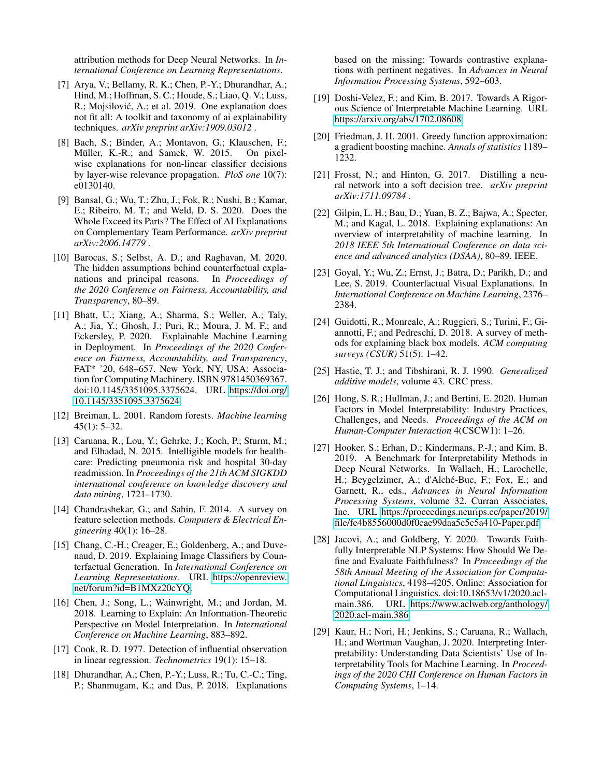attribution methods for Deep Neural Networks. In *International Conference on Learning Representations*.

- <span id="page-9-9"></span>[7] Arya, V.; Bellamy, R. K.; Chen, P.-Y.; Dhurandhar, A.; Hind, M.; Hoffman, S. C.; Houde, S.; Liao, Q. V.; Luss, R.; Mojsilović, A.; et al. 2019. One explanation does not fit all: A toolkit and taxonomy of ai explainability techniques. *arXiv preprint arXiv:1909.03012* .
- <span id="page-9-3"></span>[8] Bach, S.; Binder, A.; Montavon, G.; Klauschen, F.; Müller, K.-R.; and Samek, W. 2015. On pixelwise explanations for non-linear classifier decisions by layer-wise relevance propagation. *PloS one* 10(7): e0130140.
- <span id="page-9-2"></span>[9] Bansal, G.; Wu, T.; Zhu, J.; Fok, R.; Nushi, B.; Kamar, E.; Ribeiro, M. T.; and Weld, D. S. 2020. Does the Whole Exceed its Parts? The Effect of AI Explanations on Complementary Team Performance. *arXiv preprint arXiv:2006.14779* .
- <span id="page-9-6"></span>[10] Barocas, S.; Selbst, A. D.; and Raghavan, M. 2020. The hidden assumptions behind counterfactual explanations and principal reasons. In *Proceedings of the 2020 Conference on Fairness, Accountability, and Transparency*, 80–89.
- <span id="page-9-4"></span>[11] Bhatt, U.; Xiang, A.; Sharma, S.; Weller, A.; Taly, A.; Jia, Y.; Ghosh, J.; Puri, R.; Moura, J. M. F.; and Eckersley, P. 2020. Explainable Machine Learning in Deployment. In *Proceedings of the 2020 Conference on Fairness, Accountability, and Transparency*, FAT\* '20, 648–657. New York, NY, USA: Association for Computing Machinery. ISBN 9781450369367. doi:10.1145/3351095.3375624. URL [https://doi.org/](https://doi.org/10.1145/3351095.3375624) [10.1145/3351095.3375624.](https://doi.org/10.1145/3351095.3375624)
- <span id="page-9-16"></span>[12] Breiman, L. 2001. Random forests. *Machine learning*  $45(1)$ : 5–32.
- <span id="page-9-1"></span>[13] Caruana, R.; Lou, Y.; Gehrke, J.; Koch, P.; Sturm, M.; and Elhadad, N. 2015. Intelligible models for healthcare: Predicting pneumonia risk and hospital 30-day readmission. In *Proceedings of the 21th ACM SIGKDD international conference on knowledge discovery and data mining*, 1721–1730.
- <span id="page-9-14"></span>[14] Chandrashekar, G.; and Sahin, F. 2014. A survey on feature selection methods. *Computers & Electrical Engineering* 40(1): 16–28.
- <span id="page-9-19"></span>[15] Chang, C.-H.; Creager, E.; Goldenberg, A.; and Duvenaud, D. 2019. Explaining Image Classifiers by Counterfactual Generation. In *International Conference on Learning Representations*. URL [https://openreview.](https://openreview.net/forum?id=B1MXz20cYQ) [net/forum?id=B1MXz20cYQ.](https://openreview.net/forum?id=B1MXz20cYQ)
- <span id="page-9-12"></span>[16] Chen, J.; Song, L.; Wainwright, M.; and Jordan, M. 2018. Learning to Explain: An Information-Theoretic Perspective on Model Interpretation. In *International Conference on Machine Learning*, 883–892.
- <span id="page-9-21"></span>[17] Cook, R. D. 1977. Detection of influential observation in linear regression. *Technometrics* 19(1): 15–18.
- <span id="page-9-17"></span>[18] Dhurandhar, A.; Chen, P.-Y.; Luss, R.; Tu, C.-C.; Ting, P.; Shanmugam, K.; and Das, P. 2018. Explanations

based on the missing: Towards contrastive explanations with pertinent negatives. In *Advances in Neural Information Processing Systems*, 592–603.

- <span id="page-9-11"></span>[19] Doshi-Velez, F.; and Kim, B. 2017. Towards A Rigorous Science of Interpretable Machine Learning. URL [https://arxiv.org/abs/1702.08608.](https://arxiv.org/abs/1702.08608)
- <span id="page-9-15"></span>[20] Friedman, J. H. 2001. Greedy function approximation: a gradient boosting machine. *Annals of statistics* 1189– 1232.
- <span id="page-9-20"></span>[21] Frosst, N.; and Hinton, G. 2017. Distilling a neural network into a soft decision tree. *arXiv preprint arXiv:1711.09784* .
- <span id="page-9-8"></span>[22] Gilpin, L. H.; Bau, D.; Yuan, B. Z.; Bajwa, A.; Specter, M.; and Kagal, L. 2018. Explaining explanations: An overview of interpretability of machine learning. In *2018 IEEE 5th International Conference on data science and advanced analytics (DSAA)*, 80–89. IEEE.
- <span id="page-9-18"></span>[23] Goyal, Y.; Wu, Z.; Ernst, J.; Batra, D.; Parikh, D.; and Lee, S. 2019. Counterfactual Visual Explanations. In *International Conference on Machine Learning*, 2376– 2384.
- <span id="page-9-7"></span>[24] Guidotti, R.; Monreale, A.; Ruggieri, S.; Turini, F.; Giannotti, F.; and Pedreschi, D. 2018. A survey of methods for explaining black box models. *ACM computing surveys (CSUR)* 51(5): 1–42.
- <span id="page-9-22"></span>[25] Hastie, T. J.; and Tibshirani, R. J. 1990. *Generalized additive models*, volume 43. CRC press.
- <span id="page-9-5"></span>[26] Hong, S. R.; Hullman, J.; and Bertini, E. 2020. Human Factors in Model Interpretability: Industry Practices, Challenges, and Needs. *Proceedings of the ACM on Human-Computer Interaction* 4(CSCW1): 1–26.
- <span id="page-9-13"></span>[27] Hooker, S.; Erhan, D.; Kindermans, P.-J.; and Kim, B. 2019. A Benchmark for Interpretability Methods in Deep Neural Networks. In Wallach, H.; Larochelle, H.; Beygelzimer, A.; d'Alché-Buc, F.; Fox, E.; and Garnett, R., eds., *Advances in Neural Information Processing Systems*, volume 32. Curran Associates, Inc. URL [https://proceedings.neurips.cc/paper/2019/](https://proceedings.neurips.cc/paper/2019/file/fe4b8556000d0f0cae99daa5c5c5a410-Paper.pdf) [file/fe4b8556000d0f0cae99daa5c5c5a410-Paper.pdf.](https://proceedings.neurips.cc/paper/2019/file/fe4b8556000d0f0cae99daa5c5c5a410-Paper.pdf)
- <span id="page-9-10"></span>[28] Jacovi, A.; and Goldberg, Y. 2020. Towards Faithfully Interpretable NLP Systems: How Should We Define and Evaluate Faithfulness? In *Proceedings of the 58th Annual Meeting of the Association for Computational Linguistics*, 4198–4205. Online: Association for Computational Linguistics. doi:10.18653/v1/2020.aclmain.386. URL [https://www.aclweb.org/anthology/](https://www.aclweb.org/anthology/2020.acl-main.386) [2020.acl-main.386.](https://www.aclweb.org/anthology/2020.acl-main.386)
- <span id="page-9-0"></span>[29] Kaur, H.; Nori, H.; Jenkins, S.; Caruana, R.; Wallach, H.; and Wortman Vaughan, J. 2020. Interpreting Interpretability: Understanding Data Scientists' Use of Interpretability Tools for Machine Learning. In *Proceedings of the 2020 CHI Conference on Human Factors in Computing Systems*, 1–14.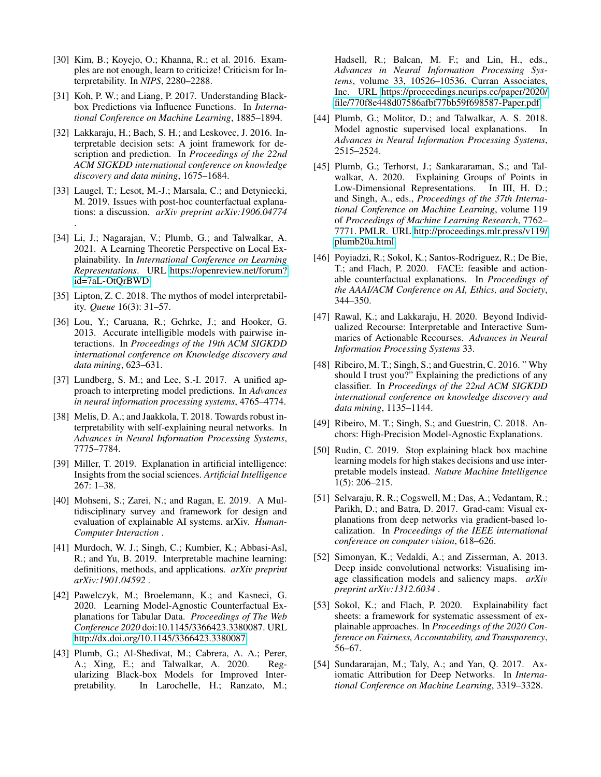- <span id="page-10-20"></span>[30] Kim, B.; Koyejo, O.; Khanna, R.; et al. 2016. Examples are not enough, learn to criticize! Criticism for Interpretability. In *NIPS*, 2280–2288.
- <span id="page-10-19"></span>[31] Koh, P. W.; and Liang, P. 2017. Understanding Blackbox Predictions via Influence Functions. In *International Conference on Machine Learning*, 1885–1894.
- <span id="page-10-17"></span>[32] Lakkaraju, H.; Bach, S. H.; and Leskovec, J. 2016. Interpretable decision sets: A joint framework for description and prediction. In *Proceedings of the 22nd ACM SIGKDD international conference on knowledge discovery and data mining*, 1675–1684.
- <span id="page-10-7"></span>[33] Laugel, T.; Lesot, M.-J.; Marsala, C.; and Detyniecki, M. 2019. Issues with post-hoc counterfactual explanations: a discussion. *arXiv preprint arXiv:1906.04774* .
- <span id="page-10-15"></span>[34] Li, J.; Nagarajan, V.; Plumb, G.; and Talwalkar, A. 2021. A Learning Theoretic Perspective on Local Explainability. In *International Conference on Learning Representations*. URL [https://openreview.net/forum?](https://openreview.net/forum?id=7aL-OtQrBWD) [id=7aL-OtQrBWD.](https://openreview.net/forum?id=7aL-OtQrBWD)
- <span id="page-10-2"></span>[35] Lipton, Z. C. 2018. The mythos of model interpretability. *Queue* 16(3): 31–57.
- <span id="page-10-16"></span>[36] Lou, Y.; Caruana, R.; Gehrke, J.; and Hooker, G. 2013. Accurate intelligible models with pairwise interactions. In *Proceedings of the 19th ACM SIGKDD international conference on Knowledge discovery and data mining*, 623–631.
- <span id="page-10-0"></span>[37] Lundberg, S. M.; and Lee, S.-I. 2017. A unified approach to interpreting model predictions. In *Advances in neural information processing systems*, 4765–4774.
- <span id="page-10-22"></span>[38] Melis, D. A.; and Jaakkola, T. 2018. Towards robust interpretability with self-explaining neural networks. In *Advances in Neural Information Processing Systems*, 7775–7784.
- <span id="page-10-3"></span>[39] Miller, T. 2019. Explanation in artificial intelligence: Insights from the social sciences. *Artificial Intelligence* 267: 1–38.
- <span id="page-10-4"></span>[40] Mohseni, S.; Zarei, N.; and Ragan, E. 2019. A Multidisciplinary survey and framework for design and evaluation of explainable AI systems. arXiv. *Human-Computer Interaction* .
- <span id="page-10-5"></span>[41] Murdoch, W. J.; Singh, C.; Kumbier, K.; Abbasi-Asl, R.; and Yu, B. 2019. Interpretable machine learning: definitions, methods, and applications. *arXiv preprint arXiv:1901.04592* .
- <span id="page-10-10"></span>[42] Pawelczyk, M.; Broelemann, K.; and Kasneci, G. 2020. Learning Model-Agnostic Counterfactual Explanations for Tabular Data. *Proceedings of The Web Conference 2020* doi:10.1145/3366423.3380087. URL [http://dx.doi.org/10.1145/3366423.3380087.](http://dx.doi.org/10.1145/3366423.3380087)
- <span id="page-10-24"></span>[43] Plumb, G.; Al-Shedivat, M.; Cabrera, A. A.; Perer, A.; Xing, E.; and Talwalkar, A. 2020. Regularizing Black-box Models for Improved Interpretability. In Larochelle, H.; Ranzato, M.;

Hadsell, R.; Balcan, M. F.; and Lin, H., eds., *Advances in Neural Information Processing Systems*, volume 33, 10526–10536. Curran Associates, Inc. URL [https://proceedings.neurips.cc/paper/2020/](https://proceedings.neurips.cc/paper/2020/file/770f8e448d07586afbf77bb59f698587-Paper.pdf) [file/770f8e448d07586afbf77bb59f698587-Paper.pdf.](https://proceedings.neurips.cc/paper/2020/file/770f8e448d07586afbf77bb59f698587-Paper.pdf)

- <span id="page-10-14"></span>[44] Plumb, G.; Molitor, D.; and Talwalkar, A. S. 2018. Model agnostic supervised local explanations. In *Advances in Neural Information Processing Systems*, 2515–2524.
- <span id="page-10-11"></span>[45] Plumb, G.; Terhorst, J.; Sankararaman, S.; and Talwalkar, A. 2020. Explaining Groups of Points in Low-Dimensional Representations. In III, H. D.; and Singh, A., eds., *Proceedings of the 37th International Conference on Machine Learning*, volume 119 of *Proceedings of Machine Learning Research*, 7762– 7771. PMLR. URL [http://proceedings.mlr.press/v119/](http://proceedings.mlr.press/v119/plumb20a.html) [plumb20a.html.](http://proceedings.mlr.press/v119/plumb20a.html)
- <span id="page-10-9"></span>[46] Poyiadzi, R.; Sokol, K.; Santos-Rodriguez, R.; De Bie, T.; and Flach, P. 2020. FACE: feasible and actionable counterfactual explanations. In *Proceedings of the AAAI/ACM Conference on AI, Ethics, and Society*, 344–350.
- <span id="page-10-12"></span>[47] Rawal, K.; and Lakkaraju, H. 2020. Beyond Individualized Recourse: Interpretable and Interactive Summaries of Actionable Recourses. *Advances in Neural Information Processing Systems* 33.
- <span id="page-10-13"></span>[48] Ribeiro, M. T.; Singh, S.; and Guestrin, C. 2016. "Why should I trust you?" Explaining the predictions of any classifier. In *Proceedings of the 22nd ACM SIGKDD international conference on knowledge discovery and data mining*, 1135–1144.
- <span id="page-10-18"></span>[49] Ribeiro, M. T.; Singh, S.; and Guestrin, C. 2018. Anchors: High-Precision Model-Agnostic Explanations.
- <span id="page-10-21"></span>[50] Rudin, C. 2019. Stop explaining black box machine learning models for high stakes decisions and use interpretable models instead. *Nature Machine Intelligence* 1(5): 206–215.
- <span id="page-10-8"></span>[51] Selvaraju, R. R.; Cogswell, M.; Das, A.; Vedantam, R.; Parikh, D.; and Batra, D. 2017. Grad-cam: Visual explanations from deep networks via gradient-based localization. In *Proceedings of the IEEE international conference on computer vision*, 618–626.
- <span id="page-10-23"></span>[52] Simonyan, K.; Vedaldi, A.; and Zisserman, A. 2013. Deep inside convolutional networks: Visualising image classification models and saliency maps. *arXiv preprint arXiv:1312.6034* .
- <span id="page-10-6"></span>[53] Sokol, K.; and Flach, P. 2020. Explainability fact sheets: a framework for systematic assessment of explainable approaches. In *Proceedings of the 2020 Conference on Fairness, Accountability, and Transparency*, 56–67.
- <span id="page-10-1"></span>[54] Sundararajan, M.; Taly, A.; and Yan, Q. 2017. Axiomatic Attribution for Deep Networks. In *International Conference on Machine Learning*, 3319–3328.